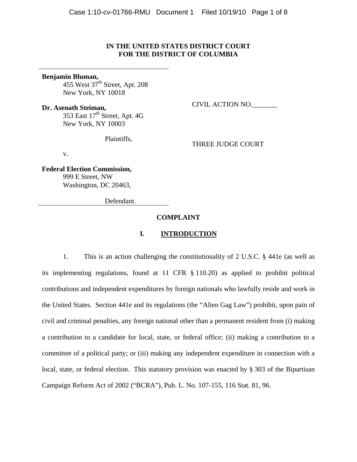## **IN THE UNITED STATES DISTRICT COURT FOR THE DISTRICT OF COLUMBIA**

#### **Benjamin Bluman,**

455 West  $37<sup>th</sup>$  Street, Apt. 208 New York, NY 10018

**Dr. Asenath Steiman,**  353 East  $17<sup>th</sup>$  Street, Apt. 4G New York, NY 10003

Plaintiffs,

THREE JUDGE COURT

CIVIL ACTION NO.\_\_\_\_\_\_\_

v.

**Federal Election Commission,**  999 E Street, NW Washington, DC 20463,

Defendant.

## **COMPLAINT**

## **I. INTRODUCTION**

1. This is an action challenging the constitutionality of 2 U.S.C. § 441e (as well as its implementing regulations, found at 11 CFR § 110.20) as applied to prohibit political contributions and independent expenditures by foreign nationals who lawfully reside and work in the United States. Section 441e and its regulations (the "Alien Gag Law") prohibit, upon pain of civil and criminal penalties, any foreign national other than a permanent resident from (i) making a contribution to a candidate for local, state, or federal office; (ii) making a contribution to a committee of a political party; or (iii) making any independent expenditure in connection with a local, state, or federal election. This statutory provision was enacted by § 303 of the Bipartisan Campaign Reform Act of 2002 ("BCRA"), Pub. L. No. 107-155, 116 Stat. 81, 96.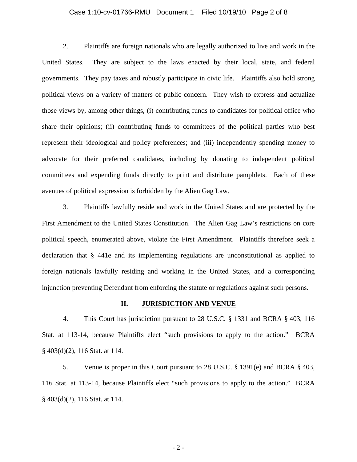## Case 1:10-cv-01766-RMU Document 1 Filed 10/19/10 Page 2 of 8

2. Plaintiffs are foreign nationals who are legally authorized to live and work in the United States. They are subject to the laws enacted by their local, state, and federal governments. They pay taxes and robustly participate in civic life. Plaintiffs also hold strong political views on a variety of matters of public concern. They wish to express and actualize those views by, among other things, (i) contributing funds to candidates for political office who share their opinions; (ii) contributing funds to committees of the political parties who best represent their ideological and policy preferences; and (iii) independently spending money to advocate for their preferred candidates, including by donating to independent political committees and expending funds directly to print and distribute pamphlets. Each of these avenues of political expression is forbidden by the Alien Gag Law.

3. Plaintiffs lawfully reside and work in the United States and are protected by the First Amendment to the United States Constitution. The Alien Gag Law's restrictions on core political speech, enumerated above, violate the First Amendment. Plaintiffs therefore seek a declaration that § 441e and its implementing regulations are unconstitutional as applied to foreign nationals lawfully residing and working in the United States, and a corresponding injunction preventing Defendant from enforcing the statute or regulations against such persons.

#### **II. JURISDICTION AND VENUE**

4. This Court has jurisdiction pursuant to 28 U.S.C. § 1331 and BCRA § 403, 116 Stat. at 113-14, because Plaintiffs elect "such provisions to apply to the action." BCRA § 403(d)(2), 116 Stat. at 114.

5. Venue is proper in this Court pursuant to 28 U.S.C. § 1391(e) and BCRA § 403, 116 Stat. at 113-14, because Plaintiffs elect "such provisions to apply to the action." BCRA § 403(d)(2), 116 Stat. at 114.

 $-2-$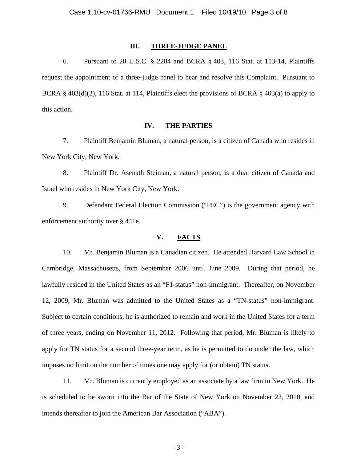## **III. THREE-JUDGE PANEL**

6. Pursuant to 28 U.S.C. § 2284 and BCRA § 403, 116 Stat. at 113-14, Plaintiffs request the appointment of a three-judge panel to hear and resolve this Complaint. Pursuant to BCRA § 403(d)(2), 116 Stat. at 114, Plaintiffs elect the provisions of BCRA § 403(a) to apply to this action.

## **IV. THE PARTIES**

7. Plaintiff Benjamin Bluman, a natural person, is a citizen of Canada who resides in New York City, New York.

8. Plaintiff Dr. Asenath Steiman, a natural person, is a dual citizen of Canada and Israel who resides in New York City, New York.

9. Defendant Federal Election Commission ("FEC") is the government agency with enforcement authority over § 441e.

## **V. FACTS**

10. Mr. Benjamin Bluman is a Canadian citizen. He attended Harvard Law School in Cambridge, Massachusetts, from September 2006 until June 2009. During that period, he lawfully resided in the United States as an "F1-status" non-immigrant. Thereafter, on November 12, 2009, Mr. Bluman was admitted to the United States as a "TN-status" non-immigrant. Subject to certain conditions, he is authorized to remain and work in the United States for a term of three years, ending on November 11, 2012. Following that period, Mr. Bluman is likely to apply for TN status for a second three-year term, as he is permitted to do under the law, which imposes no limit on the number of times one may apply for (or obtain) TN status.

11. Mr. Bluman is currently employed as an associate by a law firm in New York. He is scheduled to be sworn into the Bar of the State of New York on November 22, 2010, and intends thereafter to join the American Bar Association ("ABA").

 $-3-$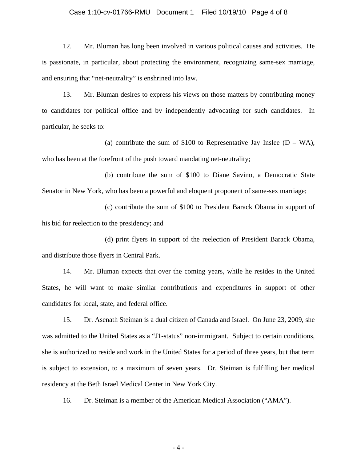## Case 1:10-cv-01766-RMU Document 1 Filed 10/19/10 Page 4 of 8

12. Mr. Bluman has long been involved in various political causes and activities. He is passionate, in particular, about protecting the environment, recognizing same-sex marriage, and ensuring that "net-neutrality" is enshrined into law.

13. Mr. Bluman desires to express his views on those matters by contributing money to candidates for political office and by independently advocating for such candidates. In particular, he seeks to:

(a) contribute the sum of \$100 to Representative Jay Inslee  $(D - WA)$ , who has been at the forefront of the push toward mandating net-neutrality;

 (b) contribute the sum of \$100 to Diane Savino, a Democratic State Senator in New York, who has been a powerful and eloquent proponent of same-sex marriage;

 (c) contribute the sum of \$100 to President Barack Obama in support of his bid for reelection to the presidency; and

 (d) print flyers in support of the reelection of President Barack Obama, and distribute those flyers in Central Park.

14. Mr. Bluman expects that over the coming years, while he resides in the United States, he will want to make similar contributions and expenditures in support of other candidates for local, state, and federal office.

15. Dr. Asenath Steiman is a dual citizen of Canada and Israel. On June 23, 2009, she was admitted to the United States as a "J1-status" non-immigrant. Subject to certain conditions, she is authorized to reside and work in the United States for a period of three years, but that term is subject to extension, to a maximum of seven years. Dr. Steiman is fulfilling her medical residency at the Beth Israel Medical Center in New York City.

16. Dr. Steiman is a member of the American Medical Association ("AMA").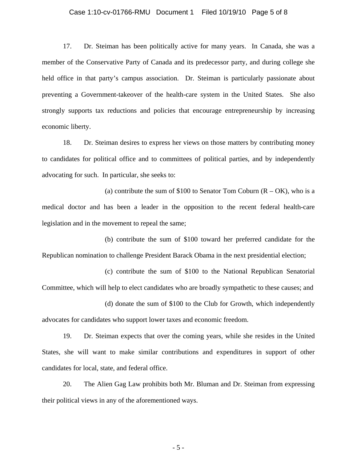## Case 1:10-cv-01766-RMU Document 1 Filed 10/19/10 Page 5 of 8

17. Dr. Steiman has been politically active for many years. In Canada, she was a member of the Conservative Party of Canada and its predecessor party, and during college she held office in that party's campus association. Dr. Steiman is particularly passionate about preventing a Government-takeover of the health-care system in the United States. She also strongly supports tax reductions and policies that encourage entrepreneurship by increasing economic liberty.

18. Dr. Steiman desires to express her views on those matters by contributing money to candidates for political office and to committees of political parties, and by independently advocating for such. In particular, she seeks to:

(a) contribute the sum of \$100 to Senator Tom Coburn  $(R - OK)$ , who is a medical doctor and has been a leader in the opposition to the recent federal health-care legislation and in the movement to repeal the same;

 (b) contribute the sum of \$100 toward her preferred candidate for the Republican nomination to challenge President Barack Obama in the next presidential election;

 (c) contribute the sum of \$100 to the National Republican Senatorial Committee, which will help to elect candidates who are broadly sympathetic to these causes; and

 (d) donate the sum of \$100 to the Club for Growth, which independently advocates for candidates who support lower taxes and economic freedom.

19. Dr. Steiman expects that over the coming years, while she resides in the United States, she will want to make similar contributions and expenditures in support of other candidates for local, state, and federal office.

20. The Alien Gag Law prohibits both Mr. Bluman and Dr. Steiman from expressing their political views in any of the aforementioned ways.

 $-5 -$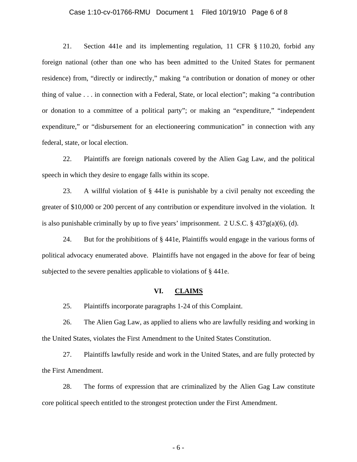## Case 1:10-cv-01766-RMU Document 1 Filed 10/19/10 Page 6 of 8

21. Section 441e and its implementing regulation, 11 CFR § 110.20, forbid any foreign national (other than one who has been admitted to the United States for permanent residence) from, "directly or indirectly," making "a contribution or donation of money or other thing of value . . . in connection with a Federal, State, or local election"; making "a contribution or donation to a committee of a political party"; or making an "expenditure," "independent expenditure," or "disbursement for an electioneering communication" in connection with any federal, state, or local election.

22. Plaintiffs are foreign nationals covered by the Alien Gag Law, and the political speech in which they desire to engage falls within its scope.

23. A willful violation of § 441e is punishable by a civil penalty not exceeding the greater of \$10,000 or 200 percent of any contribution or expenditure involved in the violation. It is also punishable criminally by up to five years' imprisonment. 2 U.S.C.  $\S$  437g(a)(6), (d).

24. But for the prohibitions of § 441e, Plaintiffs would engage in the various forms of political advocacy enumerated above. Plaintiffs have not engaged in the above for fear of being subjected to the severe penalties applicable to violations of § 441e.

#### **VI. CLAIMS**

25. Plaintiffs incorporate paragraphs 1-24 of this Complaint.

26. The Alien Gag Law, as applied to aliens who are lawfully residing and working in the United States, violates the First Amendment to the United States Constitution.

27. Plaintiffs lawfully reside and work in the United States, and are fully protected by the First Amendment.

28. The forms of expression that are criminalized by the Alien Gag Law constitute core political speech entitled to the strongest protection under the First Amendment.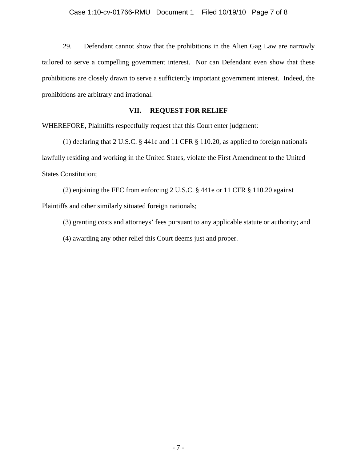29. Defendant cannot show that the prohibitions in the Alien Gag Law are narrowly tailored to serve a compelling government interest. Nor can Defendant even show that these prohibitions are closely drawn to serve a sufficiently important government interest. Indeed, the prohibitions are arbitrary and irrational.

## **VII. REQUEST FOR RELIEF**

WHEREFORE, Plaintiffs respectfully request that this Court enter judgment:

 (1) declaring that 2 U.S.C. § 441e and 11 CFR § 110.20, as applied to foreign nationals lawfully residing and working in the United States, violate the First Amendment to the United States Constitution;

 (2) enjoining the FEC from enforcing 2 U.S.C. § 441e or 11 CFR § 110.20 against Plaintiffs and other similarly situated foreign nationals;

(3) granting costs and attorneys' fees pursuant to any applicable statute or authority; and

(4) awarding any other relief this Court deems just and proper.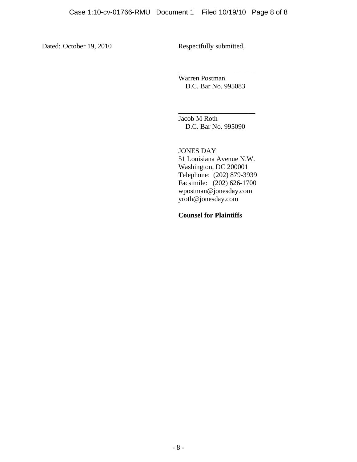Dated: October 19, 2010 Respectfully submitted,

\_\_\_\_\_\_\_\_\_\_\_\_\_\_\_\_\_\_\_\_\_\_ Warren Postman D.C. Bar No. 995083

\_\_\_\_\_\_\_\_\_\_\_\_\_\_\_\_\_\_\_\_\_\_ Jacob M Roth D.C. Bar No. 995090

JONES DAY 51 Louisiana Avenue N.W. Washington, DC 200001 Telephone: (202) 879-3939 Facsimile: (202) 626-1700 wpostman@jonesday.com yroth@jonesday.com

**Counsel for Plaintiffs**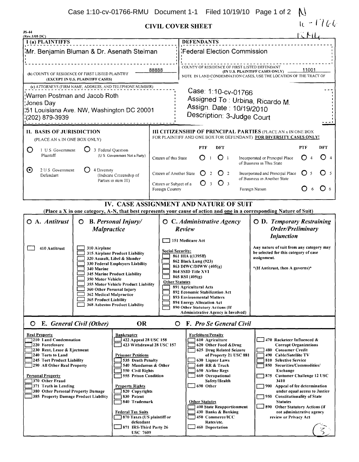# **CIVIL COVER SHEET**

| <b>CIVIL COVER SHEET</b><br><b>JS-44</b>                                                                                                                                                                                                                                                                                                                                                                                                                                                                                                                                                                                                                                                                 | $10 - 1766$                                                                                                                                                                      |                                                                                                                                                                                                                                                                                                                                                                          |                                                                                                                                                                                                                                                                                                                                                                                                                                            |  |  |
|----------------------------------------------------------------------------------------------------------------------------------------------------------------------------------------------------------------------------------------------------------------------------------------------------------------------------------------------------------------------------------------------------------------------------------------------------------------------------------------------------------------------------------------------------------------------------------------------------------------------------------------------------------------------------------------------------------|----------------------------------------------------------------------------------------------------------------------------------------------------------------------------------|--------------------------------------------------------------------------------------------------------------------------------------------------------------------------------------------------------------------------------------------------------------------------------------------------------------------------------------------------------------------------|--------------------------------------------------------------------------------------------------------------------------------------------------------------------------------------------------------------------------------------------------------------------------------------------------------------------------------------------------------------------------------------------------------------------------------------------|--|--|
| (Rev. 1/05 DC)<br>I (a) PLAINTIFFS                                                                                                                                                                                                                                                                                                                                                                                                                                                                                                                                                                                                                                                                       |                                                                                                                                                                                  | <b>DEFENDANTS</b>                                                                                                                                                                                                                                                                                                                                                        |                                                                                                                                                                                                                                                                                                                                                                                                                                            |  |  |
| Mr. Benjamin Bluman & Dr. Asenath Steiman                                                                                                                                                                                                                                                                                                                                                                                                                                                                                                                                                                                                                                                                |                                                                                                                                                                                  | Federal Election Commission                                                                                                                                                                                                                                                                                                                                              |                                                                                                                                                                                                                                                                                                                                                                                                                                            |  |  |
| (b) COUNTY OF RESIDENCE OF FIRST LISTED PLAINTIFF<br>(EXCEPT IN U.S. PLAINTIFF CASES)                                                                                                                                                                                                                                                                                                                                                                                                                                                                                                                                                                                                                    | 88888                                                                                                                                                                            | COUNTY OF RESIDENCE OF FIRST LISTED DEFENDANT<br>(IN U.S. PLAINTIFF CASES ONLY)<br>NOTE IN LAND CONDEMNATION CASES, USE THE LOCATION OF THE TRACT OF                                                                                                                                                                                                                     |                                                                                                                                                                                                                                                                                                                                                                                                                                            |  |  |
| (c) ATTORNEYS (FIRM NAME, ADDRESS, AND TELEPHONE NUMBER)<br>Warren Postman and Jacob Roth<br>Uones Day;<br>51 Louisiana Ave. NW, Washington DC 20001<br>:(202) 879-3939                                                                                                                                                                                                                                                                                                                                                                                                                                                                                                                                  |                                                                                                                                                                                  | Case: 1:10-cv-01766<br>Assigned To: Urbina, Ricardo M.<br>Assign. Date: 10/19/2010<br>Description: 3-Judge Court                                                                                                                                                                                                                                                         |                                                                                                                                                                                                                                                                                                                                                                                                                                            |  |  |
| II. BASIS OF JURISDICTION<br>(PLACE AN x IN ONE BOX ONLY)                                                                                                                                                                                                                                                                                                                                                                                                                                                                                                                                                                                                                                                |                                                                                                                                                                                  | <b>III CITIZENSHIP OF PRINCIPAL PARTIES (PLACE AN x IN ONE BOX</b><br>FOR PLAINTIFF AND ONE BOX FOR DEFENDANT) FOR DIVERSITY CASES ONLY!                                                                                                                                                                                                                                 |                                                                                                                                                                                                                                                                                                                                                                                                                                            |  |  |
| Ő<br>1 U S Government<br>3 Federal Question<br>Plaintiff<br>(U S Government Not a Party)                                                                                                                                                                                                                                                                                                                                                                                                                                                                                                                                                                                                                 | Citizen of this State                                                                                                                                                            | PTF<br>DFT<br>O <sub>1</sub><br>Ω                                                                                                                                                                                                                                                                                                                                        | DFT<br>PTF<br>O <sub>4</sub><br>Incorporated or Principal Place<br>of Business in This State                                                                                                                                                                                                                                                                                                                                               |  |  |
| $\boldsymbol{\Theta}$<br>2 U S Government<br>4 Diversity<br>(Indicate Citizenship of<br>Defendant<br>Parties in item III)                                                                                                                                                                                                                                                                                                                                                                                                                                                                                                                                                                                | $\bigcirc$ 2<br>Citizen of Another State<br>Incorporated and Principal Place<br>of Business in Another State<br>O <sub>3</sub><br>O<br>$\overline{3}$<br>Citizen or Subject of a |                                                                                                                                                                                                                                                                                                                                                                          | () 5                                                                                                                                                                                                                                                                                                                                                                                                                                       |  |  |
|                                                                                                                                                                                                                                                                                                                                                                                                                                                                                                                                                                                                                                                                                                          | Foreign Country                                                                                                                                                                  |                                                                                                                                                                                                                                                                                                                                                                          | <b>O</b> 6<br>Foreign Nation<br>6                                                                                                                                                                                                                                                                                                                                                                                                          |  |  |
| IV. CASE ASSIGNMENT AND NATURE OF SUIT<br>(Place a X in one category, A-N, that best represents your cause of action and one in a corresponding Nature of Suit)                                                                                                                                                                                                                                                                                                                                                                                                                                                                                                                                          |                                                                                                                                                                                  |                                                                                                                                                                                                                                                                                                                                                                          |                                                                                                                                                                                                                                                                                                                                                                                                                                            |  |  |
| $O$ A. Antitrust<br>$O$ B. Personal Injury/<br>Malpractice<br>410 Antitrust<br>310 Airplane<br><b>315 Airplane Product Liability</b><br>320 Assault, Libel & Slander<br><b>330 Federal Employers Liability</b><br>340 Marine<br><b>345 Marine Product Liability</b><br>350 Motor Vehicle<br>355 Motor Vehicle Product Liability                                                                                                                                                                                                                                                                                                                                                                          |                                                                                                                                                                                  | $O$ C. Administrative Agency<br>Review<br>151 Medicare Act<br><b>Social Security:</b><br>861 HIA ((1395ff)<br>862 Black Lung (923)<br>863 DIWC/DIWW (405(g)<br>864 SSID Title XVI<br>865 RSI (405(g)<br><b>Other Statutes</b>                                                                                                                                            | <b>O</b> D. Temporary Restraining<br>Order/Preliminary<br><b>Injunction</b><br>Any nature of suit from any category may<br>be selected for this category of case<br>assignment.<br>*(If Antitrust, then A governs)*                                                                                                                                                                                                                        |  |  |
| 360 Other Personal Injury<br>362 Medical Malpractice<br>365 Product Liability<br><b>368 Asbestos Product Liability</b><br>E. General Civil (Other)<br><b>OR</b><br>$\circ$                                                                                                                                                                                                                                                                                                                                                                                                                                                                                                                               |                                                                                                                                                                                  | 891 Agricultural Acts<br>892 Economic Stabilization Act<br>893 Environmental Matters<br>894 Energy Allocation Act<br>890 Other Statutory Actions (If<br><b>Administrative Agency is Involved)</b><br><b>O</b> F. Pro Se General Civil                                                                                                                                    |                                                                                                                                                                                                                                                                                                                                                                                                                                            |  |  |
| <b>Real Property</b><br><b>Bankruptcy</b><br>210 Land Condemnation<br>422 Appeal 28 USC 158<br>1220 Foreclosure<br>230 Rent, Lease & Ejectment<br>240 Torts to Land<br><b>Prisoner Petitions</b><br>245 Tort Product Liability<br>535 Death Penalty<br>290 All Other Real Property<br>540 Mandamus & Other<br>550 Civil Rights<br>Personal Property<br>555 Prison Condition<br>370 Other Fraud<br>371 Truth in Lending<br><b>Property Rights</b><br>820 Copyrights<br>380 Other Personal Property Damage<br>385 Property Damage Product Liability<br>830 Patent<br>840 Trademark<br><b>Federal Tax Suits</b><br>370 Taxes (US plaintiff or<br>defendant<br>$-$ 871 IRS-Third Party 26<br><b>USC 7609</b> | 423 Withdrawal 28 USC 157                                                                                                                                                        | <b>Forfeiture/Penalty</b><br>610 Agriculture<br>620 Other Food & Drug<br>625 Drug Related Seizure<br>of Property 21 USC 881<br>630 Liquor Laws<br>640 RR & Truck<br>650 Airline Regs<br>660 Occupational<br>Safety/Health<br>690 Other<br><b>Other Statutes</b><br>400 State Reapportionment<br>430 Banks & Banking<br>450 Commerce/ICC<br>Rates/etc.<br>460 Deportation | 470 Racketeer Influenced &<br><b>Corrupt Organizations</b><br>480 Consumer Credit<br>490 Cable/Satellite TV<br>810 Selective Service<br>850 Securities/Commodities/<br>Exchange<br>875 Customer Challenge 12 USC<br>3410<br>900 Appeal of fee determination<br>under equal access to Justice<br>950 Constitutionality of State<br><b>Statutes</b><br>890 Other Statutory Actions (if<br>not administrative agency<br>review or Privacy Act |  |  |